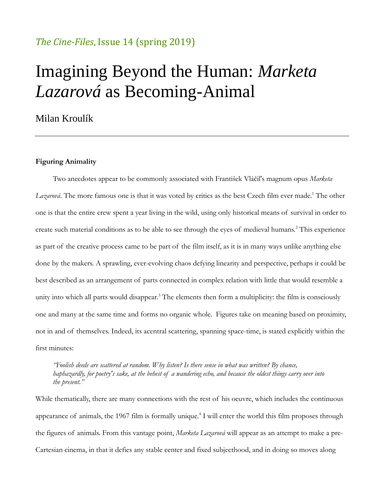## *The Cine-Files*, Issue 14 (spring 2019)

# Imagining Beyond the Human: *Marketa Lazarová* as Becoming-Animal

Milan Kroulík

#### **Figuring Animality**

Two anecdotes appear to be commonly associated with František Vláčil's magnum opus *Marketa Lazarová*. The more famous one is that it was voted by critics as the best Czech film ever made.<sup>1</sup> The other one is that the entire crew spent a year living in the wild, using only historical means of survival in order to create such material conditions as to be able to see through the eyes of medieval humans.<sup>2</sup> This experience as part of the creative process came to be part of the film itself, as it is in many ways unlike anything else done by the makers. A sprawling, ever-evolving chaos defying linearity and perspective, perhaps it could be best described as an arrangement of parts connected in complex relation with little that would resemble a unity into which all parts would disappear.<sup>3</sup> The elements then form a multiplicity: the film is consciously one and many at the same time and forms no organic whole. Figures take on meaning based on proximity, not in and of themselves. Indeed, its acentral scattering, spanning space-time, is stated explicitly within the first minutes:

*"Foolish deeds are scattered at random. Why listen? Is there sense in what was written? By chance, haphazardly, for poetry's sake, at the behest of a wandering echo, and because the oldest things carry over into the present."*

While thematically, there are many connections with the rest of his oeuvre, which includes the continuous appearance of animals, the 1967 film is formally unique.<sup>4</sup> I will enter the world this film proposes through the figures of animals. From this vantage point, *Marketa Lazarová* will appear as an attempt to make a pre-Cartesian cinema, in that it defies any stable center and fixed subjecthood, and in doing so moves along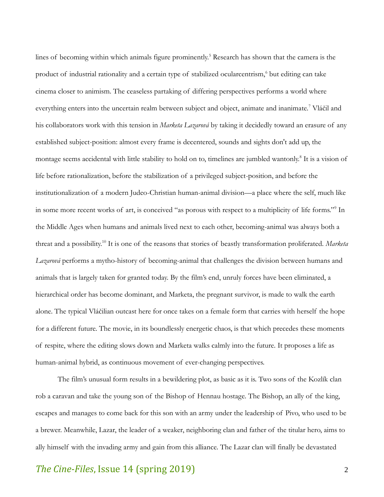lines of becoming within which animals figure prominently.<sup>5</sup> Research has shown that the camera is the product of industrial rationality and a certain type of stabilized ocularcentrism,<sup>6</sup> but editing can take cinema closer to animism. The ceaseless partaking of differing perspectives performs a world where everything enters into the uncertain realm between subject and object, animate and inanimate.<sup>7</sup> Vláčil and his collaborators work with this tension in *Marketa Lazarová* by taking it decidedly toward an erasure of any established subject-position: almost every frame is decentered, sounds and sights don't add up, the montage seems accidental with little stability to hold on to, timelines are jumbled wantonly.<sup>8</sup> It is a vision of life before rationalization, before the stabilization of a privileged subject-position, and before the institutionalization of a modern Judeo-Christian human-animal division—a place where the self, much like in some more recent works of art, is conceived "as porous with respect to a multiplicity of life forms."<sup>9</sup> In the Middle Ages when humans and animals lived next to each other, becoming-animal was always both a threat and a possibility.<sup>10</sup> It is one of the reasons that stories of beastly transformation proliferated. *Marketa Lazarová* performs a mytho-history of becoming-animal that challenges the division between humans and animals that is largely taken for granted today. By the film's end, unruly forces have been eliminated, a hierarchical order has become dominant, and Marketa, the pregnant survivor, is made to walk the earth alone. The typical Vláčilian outcast here for once takes on a female form that carries with herself the hope for a different future. The movie, in its boundlessly energetic chaos, is that which precedes these moments of respite, where the editing slows down and Marketa walks calmly into the future. It proposes a life as human-animal hybrid, as continuous movement of ever-changing perspectives.

The film's unusual form results in a bewildering plot, as basic as it is. Two sons of the Kozlík clan rob a caravan and take the young son of the Bishop of Hennau hostage. The Bishop, an ally of the king, escapes and manages to come back for this son with an army under the leadership of Pivo, who used to be a brewer. Meanwhile, Lazar, the leader of a weaker, neighboring clan and father of the titular hero, aims to ally himself with the invading army and gain from this alliance. The Lazar clan will finally be devastated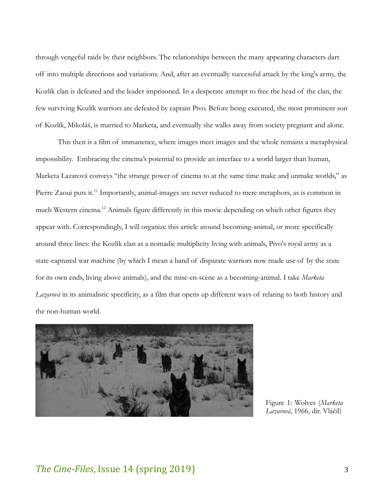through vengeful raids by their neighbors. The relationships between the many appearing characters dart off into multiple directions and variations. And, after an eventually successful attack by the king's army, the Kozlík clan is defeated and the leader imprisoned. In a desperate attempt to free the head of the clan, the few surviving Kozlík warriors are defeated by captain Pivo. Before being executed, the most prominent son of Kozlík, Mikoláš, is married to Marketa, and eventually she walks away from society pregnant and alone.

This then is a film of immanence, where images meet images and the whole remains a metaphysical impossibility. Embracing the cinema's potential to provide an interface to a world larger than human, Marketa Lazarová conveys "the strange power of cinema to at the same time make and unmake worlds," as Pierre Zaoui puts it.<sup>11</sup> Importantly, animal-images are never reduced to mere metaphors, as is common in much Western cinema.<sup>12</sup> Animals figure differently in this movie depending on which other figures they appear with. Correspondingly, I will organize this article around becoming-animal, or more specifically around three lines: the Kozlík clan as a nomadic multiplicity living with animals, Pivo's royal army as a state-captured war machine (by which I mean a band of disparate warriors now made use of by the state for its own ends, living above animals), and the mise-en-scène as a becoming-animal. I take *Marketa Lazarová* in its animalistic specificity, as a film that opens up different ways of relating to both history and the non-human world.



Figure 1: Wolves (*Marketa Lazarová*, 1966, dir. Vláčil)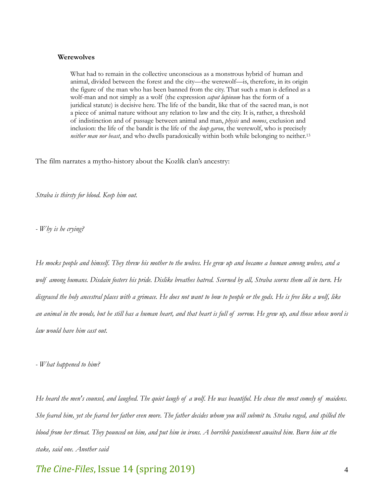#### **Werewolves**

What had to remain in the collective unconscious as a monstrous hybrid of human and animal, divided between the forest and the city—the werewolf—is, therefore, in its origin the figure of the man who has been banned from the city. That such a man is defined as a wolf-man and not simply as a wolf (the expression *caput lupinum* has the form of a juridical statute) is decisive here. The life of the bandit, like that of the sacred man, is not a piece of animal nature without any relation to law and the city. It is, rather, a threshold of indistinction and of passage between animal and man, *physis* and *nomos*, exclusion and inclusion: the life of the bandit is the life of the *loup garou*, the werewolf, who is precisely *neither man nor beast*, and who dwells paradoxically within both while belonging to neither.<sup>13</sup>

The film narrates a mytho-history about the Kozlík clan's ancestry:

*Straba is thirsty for blood. Keep him out.*

*- Why is he crying?*

*He mocks people and himself. They threw his mother to the wolves. He grew up and became a human among wolves, and a wolf among humans. Disdain fosters his pride. Dislike breathes hatred. Scorned by all, Straba scorns them all in turn. He disgraced the holy ancestral places with a grimace. He does not want to bow to people or the gods. He is free like a wolf, like an animal in the woods, but he still has a human heart, and that heart is full of sorrow. He grew up, and those whose word is law would have him cast out.*

*- What happened to him?*

*He heard the men's counsel, and laughed. The quiet laugh of a wolf. He was beautiful. He chose the most comely of maidens. She feared him, yet she feared her father even more. The father decides whom you will submit to. Straba raged, and spilled the blood from her throat. They pounced on him, and put him in irons. A horrible punishment awaited him. Burn him at the stake, said one. Another said*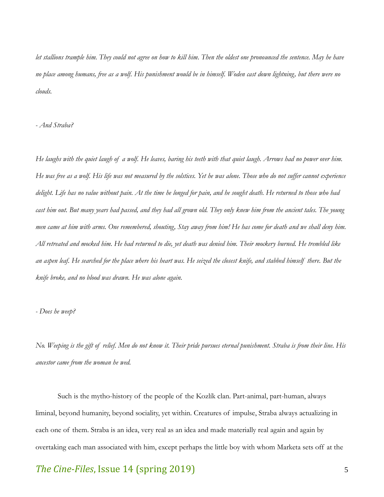*let stallions trample him. They could not agree on how to kill him. Then the oldest one pronounced the sentence. May he have no place among humans, free as a wolf. His punishment would be in himself. Woden cast down lightning, but there were no clouds.* 

*- And Straba?*

*He laughs with the quiet laugh of a wolf. He leaves, baring his teeth with that quiet laugh. Arrows had no power over him. He was free as a wolf. His life was not measured by the solstices. Yet he was alone. Those who do not suffer cannot experience delight. Life has no value without pain. At the time he longed for pain, and he sought death. He returned to those who had cast him out. But many years had passed, and they had all grown old. They only knew him from the ancient tales. The young men came at him with arms. One remembered, shouting, Stay away from him! He has come for death and we shall deny him. All retreated and mocked him. He had returned to die, yet death was denied him. Their mockery burned. He trembled like an aspen leaf. He searched for the place where his heart was. He seized the closest knife, and stabbed himself there. But the knife broke, and no blood was drawn. He was alone again.*

*- Does he weep?*

*No. Weeping is the gift of relief. Men do not know it. Their pride pursues eternal punishment. Straba is from their line. His ancestor came from the woman he wed.*

Such is the mytho-history of the people of the Kozlík clan. Part-animal, part-human, always liminal, beyond humanity, beyond sociality, yet within. Creatures of impulse, Straba always actualizing in each one of them. Straba is an idea, very real as an idea and made materially real again and again by overtaking each man associated with him, except perhaps the little boy with whom Marketa sets off at the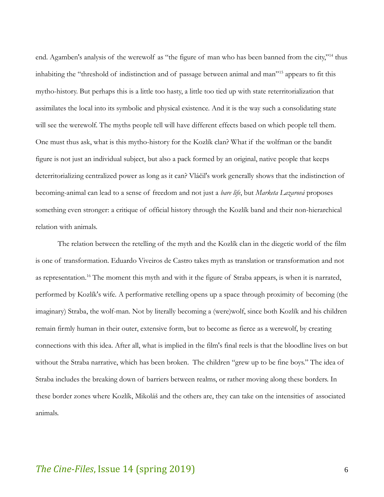end. Agamben's analysis of the werewolf as "the figure of man who has been banned from the city,"<sup>14</sup> thus inhabiting the "threshold of indistinction and of passage between animal and man"<sup>15</sup> appears to fit this mytho-history. But perhaps this is a little too hasty, a little too tied up with state reterritorialization that assimilates the local into its symbolic and physical existence. And it is the way such a consolidating state will see the werewolf. The myths people tell will have different effects based on which people tell them. One must thus ask, what is this mytho-history for the Kozlík clan? What if the wolfman or the bandit figure is not just an individual subject, but also a pack formed by an original, native people that keeps deterritorializing centralized power as long as it can? Vláčil's work generally shows that the indistinction of becoming-animal can lead to a sense of freedom and not just a *bare life*, but *Marketa Lazarová* proposes something even stronger: a critique of official history through the Kozlík band and their non-hierarchical relation with animals.

The relation between the retelling of the myth and the Kozlík clan in the diegetic world of the film is one of transformation. Eduardo Viveiros de Castro takes myth as translation or transformation and not as representation.<sup>16</sup> The moment this myth and with it the figure of Straba appears, is when it is narrated, performed by Kozlík's wife. A performative retelling opens up a space through proximity of becoming (the imaginary) Straba, the wolf-man. Not by literally becoming a (were)wolf, since both Kozlík and his children remain firmly human in their outer, extensive form, but to become as fierce as a werewolf, by creating connections with this idea. After all, what is implied in the film's final reels is that the bloodline lives on but without the Straba narrative, which has been broken. The children "grew up to be fine boys." The idea of Straba includes the breaking down of barriers between realms, or rather moving along these borders. In these border zones where Kozlík, Mikoláš and the others are, they can take on the intensities of associated animals.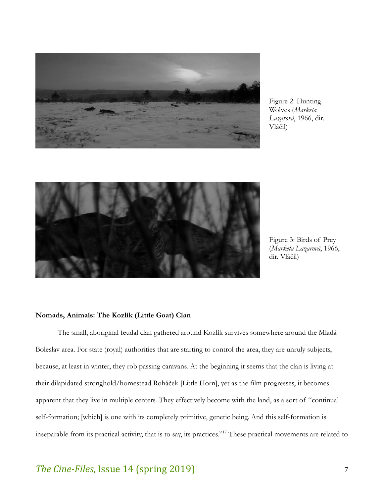

Figure 2: Hunting Wolves (*Marketa Lazarová*, 1966, dir. Vláčil)



Figure 3: Birds of Prey (*Marketa Lazarová*, 1966, dir. Vláčil)

### **Nomads, Animals: The Kozlík (Little Goat) Clan**

The small, aboriginal feudal clan gathered around Kozlík survives somewhere around the Mladá Boleslav area. For state (royal) authorities that are starting to control the area, they are unruly subjects, because, at least in winter, they rob passing caravans. At the beginning it seems that the clan is living at their dilapidated stronghold/homestead Roháček [Little Horn], yet as the film progresses, it becomes apparent that they live in multiple centers. They effectively become with the land, as a sort of "continual self-formation; [which] is one with its completely primitive, genetic being. And this self-formation is inseparable from its practical activity, that is to say, its practices."<sup>17</sup> These practical movements are related to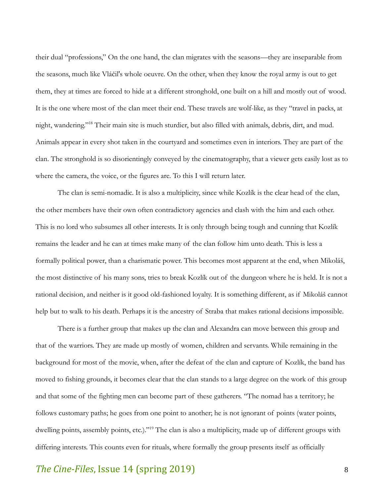their dual "professions," On the one hand, the clan migrates with the seasons—they are inseparable from the seasons, much like Vláčil's whole oeuvre. On the other, when they know the royal army is out to get them, they at times are forced to hide at a different stronghold, one built on a hill and mostly out of wood. It is the one where most of the clan meet their end. These travels are wolf-like, as they "travel in packs, at night, wandering."<sup>18</sup> Their main site is much sturdier, but also filled with animals, debris, dirt, and mud. Animals appear in every shot taken in the courtyard and sometimes even in interiors. They are part of the clan. The stronghold is so disorientingly conveyed by the cinematography, that a viewer gets easily lost as to where the camera, the voice, or the figures are. To this I will return later.

The clan is semi-nomadic. It is also a multiplicity, since while Kozlík is the clear head of the clan, the other members have their own often contradictory agencies and clash with the him and each other. This is no lord who subsumes all other interests. It is only through being tough and cunning that Kozlík remains the leader and he can at times make many of the clan follow him unto death. This is less a formally political power, than a charismatic power. This becomes most apparent at the end, when Mikoláš, the most distinctive of his many sons, tries to break Kozlík out of the dungeon where he is held. It is not a rational decision, and neither is it good old-fashioned loyalty. It is something different, as if Mikoláš cannot help but to walk to his death. Perhaps it is the ancestry of Straba that makes rational decisions impossible.

There is a further group that makes up the clan and Alexandra can move between this group and that of the warriors. They are made up mostly of women, children and servants. While remaining in the background for most of the movie, when, after the defeat of the clan and capture of Kozlík, the band has moved to fishing grounds, it becomes clear that the clan stands to a large degree on the work of this group and that some of the fighting men can become part of these gatherers. "The nomad has a territory; he follows customary paths; he goes from one point to another; he is not ignorant of points (water points, dwelling points, assembly points, etc.)."<sup>19</sup> The clan is also a multiplicity, made up of different groups with differing interests. This counts even for rituals, where formally the group presents itself as officially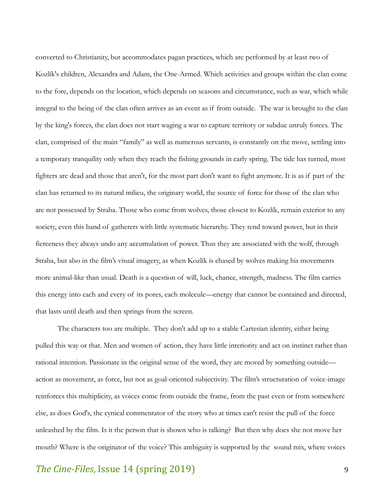converted to Christianity, but accommodates pagan practices, which are performed by at least two of Kozlík's children, Alexandra and Adam, the One-Armed. Which activities and groups within the clan come to the fore, depends on the location, which depends on seasons and circumstance, such as war, which while integral to the being of the clan often arrives as an event as if from outside. The war is brought to the clan by the king's forces, the clan does not start waging a war to capture territory or subdue unruly forces. The clan, comprised of the main "family" as well as numerous servants, is constantly on the move, settling into a temporary tranquility only when they reach the fishing grounds in early spring. The tide has turned, most fighters are dead and those that aren't, for the most part don't want to fight anymore. It is as if part of the clan has returned to its natural milieu, the originary world, the source of force for those of the clan who are not possessed by Straba. Those who come from wolves, those closest to Kozlík, remain exterior to any society, even this band of gatherers with little systematic hierarchy. They tend toward power, but in their fierceness they always undo any accumulation of power. Thus they are associated with the wolf, through Straba, but also in the film's visual imagery, as when Kozlík is chased by wolves making his movements more animal-like than usual. Death is a question of will, luck, chance, strength, madness. The film carries this energy into each and every of its pores, each molecule—energy that cannot be contained and directed, that lasts until death and then springs from the screen.

The characters too are multiple. They don't add up to a stable Cartesian identity, either being pulled this way or that. Men and women of action, they have little interiority and act on instinct rather than rational intention. Passionate in the original sense of the word, they are moved by something outside action as movement, as force, but not as goal-oriented subjectivity. The film's structuration of voice-image reinforces this multiplicity, as voices come from outside the frame, from the past even or from somewhere else, as does God's, the cynical commentator of the story who at times can't resist the pull of the force unleashed by the film. Is it the person that is shown who is talking? But then why does she not move her mouth? Where is the originator of the voice? This ambiguity is supported by the sound mix, where voices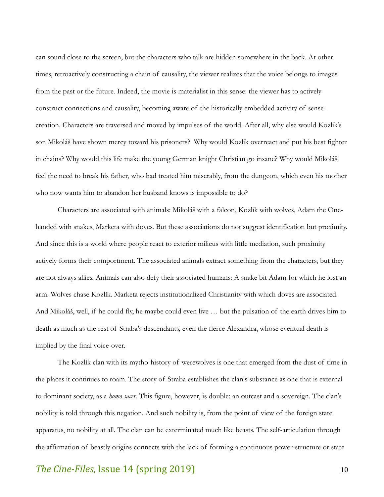can sound close to the screen, but the characters who talk are hidden somewhere in the back. At other times, retroactively constructing a chain of causality, the viewer realizes that the voice belongs to images from the past or the future. Indeed, the movie is materialist in this sense: the viewer has to actively construct connections and causality, becoming aware of the historically embedded activity of sensecreation. Characters are traversed and moved by impulses of the world. After all, why else would Kozlík's son Mikoláš have shown mercy toward his prisoners? Why would Kozlík overreact and put his best fighter in chains? Why would this life make the young German knight Christian go insane? Why would Mikoláš feel the need to break his father, who had treated him miserably, from the dungeon, which even his mother who now wants him to abandon her husband knows is impossible to do?

Characters are associated with animals: Mikoláš with a falcon, Kozlík with wolves, Adam the Onehanded with snakes, Marketa with doves. But these associations do not suggest identification but proximity. And since this is a world where people react to exterior milieus with little mediation, such proximity actively forms their comportment. The associated animals extract something from the characters, but they are not always allies. Animals can also defy their associated humans: A snake bit Adam for which he lost an arm. Wolves chase Kozlík. Marketa rejects institutionalized Christianity with which doves are associated. And Mikoláš, well, if he could fly, he maybe could even live … but the pulsation of the earth drives him to death as much as the rest of Straba's descendants, even the fierce Alexandra, whose eventual death is implied by the final voice-over.

The Kozlík clan with its mytho-history of werewolves is one that emerged from the dust of time in the places it continues to roam. The story of Straba establishes the clan's substance as one that is external to dominant society, as a *homo sacer*. This figure, however, is double: an outcast and a sovereign. The clan's nobility is told through this negation. And such nobility is, from the point of view of the foreign state apparatus, no nobility at all. The clan can be exterminated much like beasts. The self-articulation through the affirmation of beastly origins connects with the lack of forming a continuous power-structure or state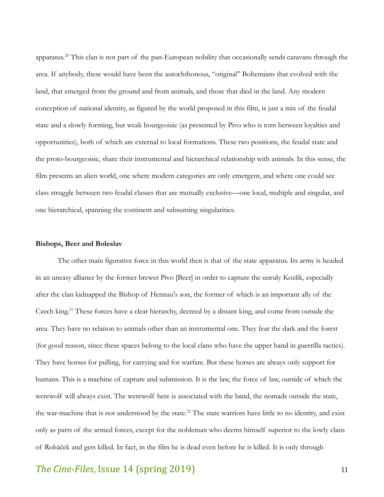apparatus.<sup>20</sup> This clan is not part of the pan-European nobility that occasionally sends caravans through the area. If anybody, these would have been the autochthonous, "original" Bohemians that evolved with the land, that emerged from the ground and from animals, and those that died in the land. Any modern conception of national identity, as figured by the world proposed in this film, is just a mix of the feudal state and a slowly forming, but weak bourgeoisie (as presented by Pivo who is torn between loyalties and opportunities), both of which are external to local formations. These two positions, the feudal state and the proto-bourgeoisie, share their instrumental and hierarchical relationship with animals. In this sense, the film presents an alien world, one where modern categories are only emergent, and where one could see class struggle between two feudal classes that are mutually exclusive—one local, multiple and singular, and one hierarchical, spanning the continent and subsuming singularities.

#### **Bishops, Beer and Boleslav**

The other main figurative force in this world then is that of the state apparatus. Its army is headed in an uneasy alliance by the former brewer Pivo [Beer] in order to capture the unruly Kozlík, especially after the clan kidnapped the Bishop of Hennau's son, the former of which is an important ally of the Czech king.<sup>21</sup> These forces have a clear hierarchy, decreed by a distant king, and come from outside the area. They have no relation to animals other than an instrumental one. They fear the dark and the forest (for good reason, since these spaces belong to the local clans who have the upper hand in guerrilla tactics). They have horses for pulling, for carrying and for warfare. But these horses are always only support for humans. This is a machine of capture and submission. It is the law, the force of law, outside of which the werewolf will always exist. The werewolf here is associated with the band, the nomads outside the state, the war-machine that is not understood by the state.<sup>22</sup> The state warriors have little to no identity, and exist only as parts of the armed forces, except for the nobleman who deems himself superior to the lowly clans of Roháček and gets killed. In fact, in the film he is dead even before he is killed. It is only through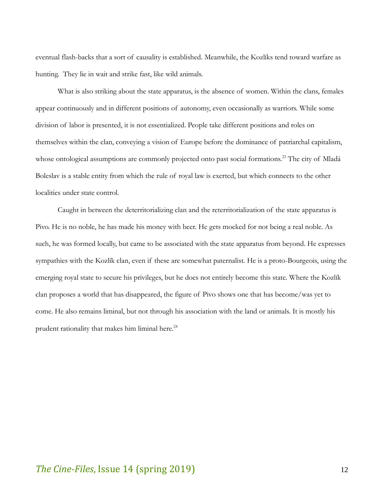eventual flash-backs that a sort of causality is established. Meanwhile, the Kozlíks tend toward warfare as hunting. They lie in wait and strike fast, like wild animals.

What is also striking about the state apparatus, is the absence of women. Within the clans, females appear continuously and in different positions of autonomy, even occasionally as warriors. While some division of labor is presented, it is not essentialized. People take different positions and roles on themselves within the clan, conveying a vision of Europe before the dominance of patriarchal capitalism, whose ontological assumptions are commonly projected onto past social formations.<sup>23</sup> The city of Mladá Boleslav is a stable entity from which the rule of royal law is exerted, but which connects to the other localities under state control.

Caught in between the deterritorializing clan and the reterritorialization of the state apparatus is Pivo. He is no noble, he has made his money with beer. He gets mocked for not being a real noble. As such, he was formed locally, but came to be associated with the state apparatus from beyond. He expresses sympathies with the Kozlík clan, even if these are somewhat paternalist. He is a proto-Bourgeois, using the emerging royal state to secure his privileges, but he does not entirely become this state. Where the Kozlík clan proposes a world that has disappeared, the figure of Pivo shows one that has become/was yet to come. He also remains liminal, but not through his association with the land or animals. It is mostly his prudent rationality that makes him liminal here.<sup>24</sup>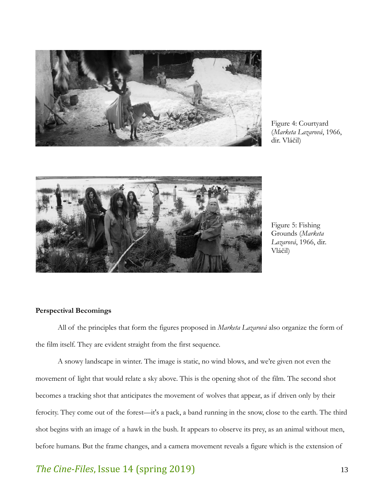

Figure 4: Courtyard (*Marketa Lazarová*, 1966, dir. Vláčil)



Figure 5: Fishing Grounds (*Marketa Lazarová*, 1966, dir. Vláčil)

### **Perspectival Becomings**

All of the principles that form the figures proposed in *Marketa Lazarová* also organize the form of the film itself. They are evident straight from the first sequence.

A snowy landscape in winter. The image is static, no wind blows, and we're given not even the movement of light that would relate a sky above. This is the opening shot of the film. The second shot becomes a tracking shot that anticipates the movement of wolves that appear, as if driven only by their ferocity. They come out of the forest—it's a pack, a band running in the snow, close to the earth. The third shot begins with an image of a hawk in the bush. It appears to observe its prey, as an animal without men, before humans. But the frame changes, and a camera movement reveals a figure which is the extension of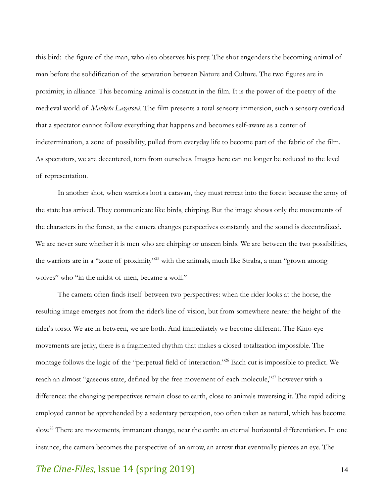this bird: the figure of the man, who also observes his prey. The shot engenders the becoming-animal of man before the solidification of the separation between Nature and Culture. The two figures are in proximity, in alliance. This becoming-animal is constant in the film. It is the power of the poetry of the medieval world of *Marketa Lazarová*. The film presents a total sensory immersion, such a sensory overload that a spectator cannot follow everything that happens and becomes self-aware as a center of indetermination, a zone of possibility, pulled from everyday life to become part of the fabric of the film. As spectators, we are decentered, torn from ourselves. Images here can no longer be reduced to the level of representation.

In another shot, when warriors loot a caravan, they must retreat into the forest because the army of the state has arrived. They communicate like birds, chirping. But the image shows only the movements of the characters in the forest, as the camera changes perspectives constantly and the sound is decentralized. We are never sure whether it is men who are chirping or unseen birds. We are between the two possibilities, the warriors are in a "zone of proximity"<sup>25</sup> with the animals, much like Straba, a man "grown among wolves" who "in the midst of men, became a wolf."

The camera often finds itself between two perspectives: when the rider looks at the horse, the resulting image emerges not from the rider's line of vision, but from somewhere nearer the height of the rider's torso. We are in between, we are both. And immediately we become different. The Kino-eye movements are jerky, there is a fragmented rhythm that makes a closed totalization impossible. The montage follows the logic of the "perpetual field of interaction."<sup>26</sup> Each cut is impossible to predict. We reach an almost "gaseous state, defined by the free movement of each molecule,"<sup>27</sup> however with a difference: the changing perspectives remain close to earth, close to animals traversing it. The rapid editing employed cannot be apprehended by a sedentary perception, too often taken as natural, which has become slow.<sup>28</sup> There are movements, immanent change, near the earth: an eternal horizontal differentiation. In one instance, the camera becomes the perspective of an arrow, an arrow that eventually pierces an eye. The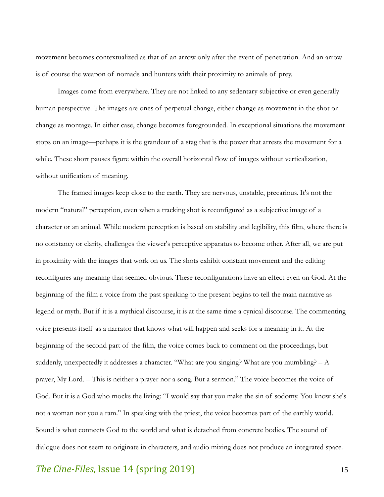movement becomes contextualized as that of an arrow only after the event of penetration. And an arrow is of course the weapon of nomads and hunters with their proximity to animals of prey.

Images come from everywhere. They are not linked to any sedentary subjective or even generally human perspective. The images are ones of perpetual change, either change as movement in the shot or change as montage. In either case, change becomes foregrounded. In exceptional situations the movement stops on an image—perhaps it is the grandeur of a stag that is the power that arrests the movement for a while. These short pauses figure within the overall horizontal flow of images without verticalization, without unification of meaning.

The framed images keep close to the earth. They are nervous, unstable, precarious. It's not the modern "natural" perception, even when a tracking shot is reconfigured as a subjective image of a character or an animal. While modern perception is based on stability and legibility, this film, where there is no constancy or clarity, challenges the viewer's perceptive apparatus to become other. After all, we are put in proximity with the images that work on us. The shots exhibit constant movement and the editing reconfigures any meaning that seemed obvious. These reconfigurations have an effect even on God. At the beginning of the film a voice from the past speaking to the present begins to tell the main narrative as legend or myth. But if it is a mythical discourse, it is at the same time a cynical discourse. The commenting voice presents itself as a narrator that knows what will happen and seeks for a meaning in it. At the beginning of the second part of the film, the voice comes back to comment on the proceedings, but suddenly, unexpectedly it addresses a character. "What are you singing? What are you mumbling? – A prayer, My Lord. – This is neither a prayer nor a song. But a sermon." The voice becomes the voice of God. But it is a God who mocks the living: "I would say that you make the sin of sodomy. You know she's not a woman nor you a ram." In speaking with the priest, the voice becomes part of the earthly world. Sound is what connects God to the world and what is detached from concrete bodies. The sound of dialogue does not seem to originate in characters, and audio mixing does not produce an integrated space.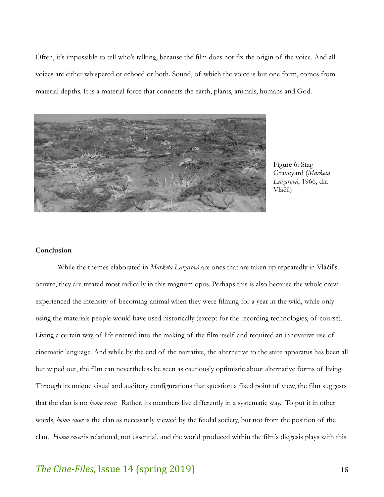Often, it's impossible to tell who's talking, because the film does not fix the origin of the voice. And all voices are either whispered or echoed or both. Sound, of which the voice is but one form, comes from material depths. It is a material force that connects the earth, plants, animals, humans and God.



Figure 6: Stag Graveyard (*Marketa Lazarová*, 1966, dir. Vláčil)

#### **Conclusion**

While the themes elaborated in *Marketa Lazarová* are ones that are taken up repeatedly in Vláčil's oeuvre, they are treated most radically in this magnum opus. Perhaps this is also because the whole crew experienced the intensity of becoming-animal when they were filming for a year in the wild, while only using the materials people would have used historically (except for the recording technologies, of course). Living a certain way of life entered into the making of the film itself and required an innovative use of cinematic language. And while by the end of the narrative, the alternative to the state apparatus has been all but wiped out, the film can nevertheless be seen as cautiously optimistic about alternative forms of living. Through its unique visual and auditory configurations that question a fixed point of view, the film suggests that the clan is no *homo sacer*. Rather, its members live differently in a systematic way. To put it in other words, *homo sacer* is the clan as necessarily viewed by the feudal society, but not from the position of the clan. *Homo sacer* is relational, not essential, and the world produced within the film's diegesis plays with this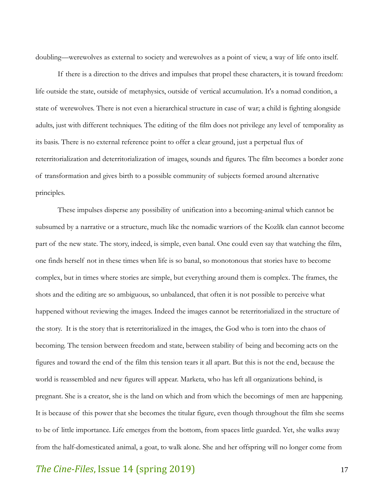doubling—werewolves as external to society and werewolves as a point of view, a way of life onto itself.

If there is a direction to the drives and impulses that propel these characters, it is toward freedom: life outside the state, outside of metaphysics, outside of vertical accumulation. It's a nomad condition, a state of werewolves. There is not even a hierarchical structure in case of war; a child is fighting alongside adults, just with different techniques. The editing of the film does not privilege any level of temporality as its basis. There is no external reference point to offer a clear ground, just a perpetual flux of reterritorialization and deterritorialization of images, sounds and figures. The film becomes a border zone of transformation and gives birth to a possible community of subjects formed around alternative principles.

These impulses disperse any possibility of unification into a becoming-animal which cannot be subsumed by a narrative or a structure, much like the nomadic warriors of the Kozlík clan cannot become part of the new state. The story, indeed, is simple, even banal. One could even say that watching the film, one finds herself not in these times when life is so banal, so monotonous that stories have to become complex, but in times where stories are simple, but everything around them is complex. The frames, the shots and the editing are so ambiguous, so unbalanced, that often it is not possible to perceive what happened without reviewing the images. Indeed the images cannot be reterritorialized in the structure of the story. It is the story that is reterritorialized in the images, the God who is torn into the chaos of becoming. The tension between freedom and state, between stability of being and becoming acts on the figures and toward the end of the film this tension tears it all apart. But this is not the end, because the world is reassembled and new figures will appear. Marketa, who has left all organizations behind, is pregnant. She is a creator, she is the land on which and from which the becomings of men are happening. It is because of this power that she becomes the titular figure, even though throughout the film she seems to be of little importance. Life emerges from the bottom, from spaces little guarded. Yet, she walks away from the half-domesticated animal, a goat, to walk alone. She and her offspring will no longer come from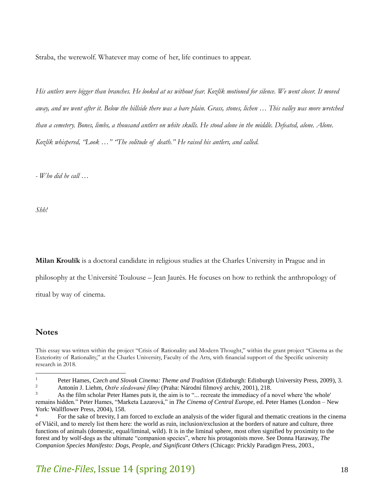Straba, the werewolf. Whatever may come of her, life continues to appear.

*His antlers were bigger than branches. He looked at us without fear. Kozlík motioned for silence. We went closer. It moved away, and we went after it. Below the hillside there was a bare plain. Grass, stones, lichen … This valley was more wretched than a cemetery. Bones, limbs, a thousand antlers on white skulls. He stood alone in the middle. Defeated, alone. Alone. Kozlík whispered, "Look …" "The solitude of death." He raised his antlers, and called.*

*- Who did he call …*

*Shh!*

**Milan Kroulík** is a doctoral candidate in religious studies at the Charles University in Prague and in

philosophy at the Université Toulouse – Jean Jaurès. He focuses on how to rethink the anthropology of

ritual by way of cinema.

### **Notes**

 $\overline{a}$ 

<sup>2</sup> Antonín J. Liehm, *Ostře sledované filmy* (Praha: Národní filmový archiv, 2001), 218.<br><sup>3</sup> As the film scholar Peter Hames puts it, the aim is to ", recreate the immediacy of a t

This essay was written within the project "Crisis of Rationality and Modern Thought," within the grant project "Cinema as the Exteriority of Rationality," at the Charles University, Faculty of the Arts, with financial support of the Specific university research in 2018.

<sup>&</sup>lt;sup>1</sup> Peter Hames, *Czech and Slovak Cinema: Theme and Tradition* (Edinburgh: Edinburgh University Press, 2009), 3.<br>Antonín I. Liebm, *Ostře sledované filmy* (Prebe: Nérodní filmový archiv. 2001), 218.

As the film scholar Peter Hames puts it, the aim is to "... recreate the immediacy of a novel where 'the whole' remains hidden." Peter Hames, "Marketa Lazarová," in *The Cinema of Central Europe*, ed. Peter Hames (London – New York: Wallflower Press, 2004), 158.

<sup>4</sup> For the sake of brevity, I am forced to exclude an analysis of the wider figural and thematic creations in the cinema of Vláčil, and to merely list them here: the world as ruin, inclusion/exclusion at the borders of nature and culture, three functions of animals (domestic, equal/liminal, wild). It is in the liminal sphere, most often signified by proximity to the forest and by wolf-dogs as the ultimate "companion species", where his protagonists move. See Donna Haraway, *The Companion Species Manifesto: Dogs, People, and Significant Others* (Chicago: Prickly Paradigm Press, 2003.,